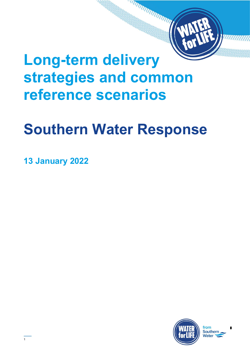# Long-term delivery strategies and common reference scenarios

# Southern Water Response

13 January 2022

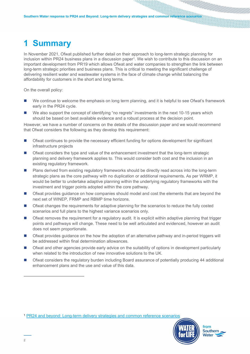## 1 Summary

In November 2021, Ofwat published further detail on their approach to long-term strategic planning for inclusion within PR24 business plans in a discussion paper<sup>1</sup>. We wish to contribute to this discussion on an important development from PR19 which allows Ofwat and water companies to strengthen the link between long-term strategic priorities and business plans. This is critical to meeting the significant challenge of delivering resilient water and wastewater systems in the face of climate change whilst balancing the affordability for customers in the short and long terms.

On the overall policy:

- We continue to welcome the emphasis on long term planning, and it is helpful to see Ofwat's framework early in the PR24 cycle.
- We also support the concept of identifying "no regrets" investments in the next 10-15 years which should be based on best available evidence and a robust process at the decision point.

However, we have a number of concerns on the details of the discussion paper and we would recommend that Ofwat considers the following as they develop this requirement:

- Ofwat continues to provide the necessary efficient funding for options development for significant infrastructure projects
- **Ofwat considers the type and value of the enhancement investment that the long-term strategic** planning and delivery framework applies to. This would consider both cost and the inclusion in an existing regulatory framework.
- **Plans derived from existing regulatory frameworks should be directly read across into the long-term** strategic plans as the core pathway with no duplication or additional requirements. As per WRMP, it would be better to undertake adaptive planning within the underlying regulatory frameworks with the investment and trigger points adopted within the core pathway.
- **Ofwat provides guidance on how companies should model and cost the elements that are beyond the** next set of WINEP, FRMP and RBMP time horizons.
- Ofwat changes the requirements for adaptive planning for the scenarios to reduce the fully costed scenarios and full plans to the highest variance scenarios only.
- Ofwat removes the requirement for a regulatory audit. It is explicit within adaptive planning that trigger points and pathways will change. These need to be well articulated and evidenced, however an audit does not seem proportionate.
- Ofwat provides guidance on the how the adoption of an alternative pathway and in-period triggers will be addressed within final determination allowances.
- Ofwat and other agencies provide early advice on the suitability of options in development particularly when related to the introduction of new innovative solutions to the UK.
- Ofwat considers the regulatory burden including Board assurance of potentially producing 44 additional enhancement plans and the use and value of this data.

<sup>1</sup> PR24 and beyond: Long-term delivery strategies and common reference scenarios



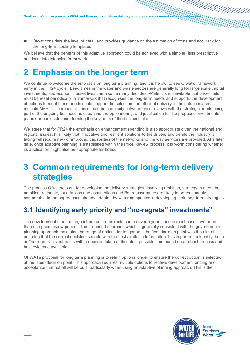Ofwat considers the level of detail and provides guidance on the estimation of costs and accuracy for the long-term costing templates.

We believe that the benefits of this adaptive approach could be achieved with a simpler, less prescriptive and less data intensive framework.

## 2 Emphasis on the longer term

We continue to welcome the emphasis on long term planning, and it is helpful to see Ofwat's framework early in the PR24 cycle. Lead times in the water and waste sectors are generally long for large scale capital investments, and economic asset lives can also be many decades. While it is in inevitable that price limits must be reset periodically, a framework that recognises the long-term needs and supports the development of options to meet these needs could support the selection and efficient delivery of the solutions across multiple AMPs. The impact of this should be continuity between price reviews with the strategic needs being part of the ongoing business as usual and the optioneering, and justification for the proposed investments (capex or opex solutions) forming the key parts of the business plan.

We agree that for PR24 the emphasis on enhancement spending is also appropriate given the national and regional issues. It is likely that innovative and resilient solutions to the drivers and trends the industry is facing will require new or improved capabilities of the networks and the way services are provided. At a later date, once adaptive planning is established within the Price Review process, it is worth considering whether its application might also be appropriate for botex.

### 3 Common requirements for long-term delivery strategies

The process Ofwat sets out for developing the delivery strategies, involving ambition, strategy to meet the ambition, rationale, foundations and assumptions and Board assurance are likely to be reasonably comparable to the approaches already adopted by water companies in developing their long-term strategies.

#### 3.1 Identifying early priority and "no-regrets" investments"

The development time for large infrastructure projects can be over 5 years, and in most cases over more than one price review period. The proposed approach which is generally consistent with the governments planning approach maintains the range of options for longer until the final decision point with the aim of ensuring that the correct decision is made with the best available information. It is important to identify these as "no-regrets" investments with a decision taken at the latest possible time based on a robust process and best evidence available.

OFWATs proposal for long term planning is to retain options longer to ensure the correct option is selected at the latest decision point. This approach requires multiple options to receive development funding and acceptance that not all will be built, particularly when using an adaptive planning approach. This is the

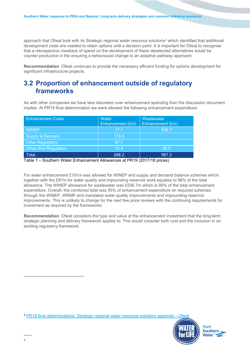approach that Ofwat took with its Strategic regional water resource solutions<sup>2</sup> which identified that additional development costs are needed to retain options until a decision point. It is important for Ofwat to recognise that a retrospective clawback of spend on the development of these deselected alternatives would be counter-productive in the ensuring a behavioural change to an adaptive pathway approach.

Recommendation: Ofwat continues to provide the necessary efficient funding for options development for significant infrastructure projects.

#### 3.2 Proportion of enhancement outside of regulatory frameworks

As with other companies we have less discretion over enhancement spending than the discussion document implies. At PR19 final determination we were allowed the following enhancement expenditure:

| <b>Enhancement Costs</b>    | Water<br>Enhancement (£m) | Wastewater<br>Enhancement (£m) |
|-----------------------------|---------------------------|--------------------------------|
| <b>WINEP</b>                | 17.1                      | 536.7                          |
| <b>Supply &amp; Demand</b>  | 173.6                     |                                |
| <b>Other Regulatory</b>     | 87.1                      |                                |
| <b>Other Non-Regulatory</b> | 10.4                      | 30.5                           |
| <b>Total</b>                | 288.2                     | 567.2                          |

Table 1 – Southern Water Enhancement Allowances at PR19 (2017/18 prices)

For water enhancement £191m was allowed for WINEP and supply and demand balance schemes which together with the £87m for water quality and impounding reservoir work equates to 96% of the total allowance. The WINEP allowance for wastewater was £536.7m which is 95% of the total enhancement expenditure. Overall, the combined total was 95% of enhancement expenditure on required schemes through the WINEP, WRMP and mandated water quality improvements and impounding reservoir improvements. This is unlikely to change for the next few price reviews with the continuing requirements for investment as required by the frameworks.

Recommendation: Ofwat considers the type and value of the enhancement investment that the long-term strategic planning and delivery framework applies to. This would consider both cost and the inclusion in an existing regulatory framework.

<sup>2</sup> PR19 final determinations: Strategic regional water resource solutions appendix - Ofwa

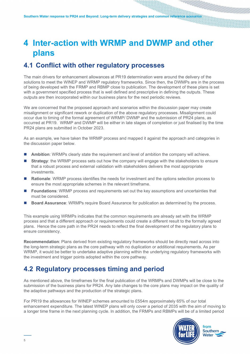## 4 Inter-action with WRMP and DWMP and other plans

#### 4.1 Conflict with other regulatory processes

The main drivers for enhancement allowances at PR19 determination were around the delivery of the solutions to meet the WINEP and WRMP regulatory frameworks. Since then, the DWMPs are in the process of being developed with the FRMP and RBMP close to publication. The development of these plans is set with a government specified process that is well defined and prescriptive in defining the outputs. These outputs are then incorporated within our business plans for the next periodic reviews.

We are concerned that the proposed approach and scenarios within the discussion paper may create misalignment or significant rework or duplication of the above regulatory processes. Misalignment could occur due to timing of the formal agreement of WRMP/ DWMP and the submission of PR24 plans, as occurred at PR19. WRMP and DWMP will be either in late stages of completion or just finalised by the time PR24 plans are submitted in October 2023.

As an example, we have taken the WRMP process and mapped it against the approach and categories in the discussion paper below.

- **Ambition:** WRMPs clearly state the requirement and level of ambition the company will achieve.
- **Strategy**: the WRMP process sets out how the company will engage with the stakeholders to ensure that a robust process and external validation with stakeholders delivers the most appropriate investments.
- Rationale: WRMP process identifies the needs for investment and the options selection process to ensure the most appropriate schemes in the relevant timeframe.
- **Foundations:** WRMP process and requirements set out the key assumptions and uncertainties that must be considered.
- Board Assurance: WRMPs require Board Assurance for publication as determined by the process.

This example using WRMPs indicates that the common requirements are already set with the WRMP process and that a different approach or requirements could create a different result to the formally agreed plans. Hence the core path in the PR24 needs to reflect the final development of the regulatory plans to ensure consistency.

Recommendation: Plans derived from existing regulatory frameworks should be directly read across into the long-term strategic plans as the core pathway with no duplication or additional requirements. As per WRMP, it would be better to undertake adaptive planning within the underlying regulatory frameworks with the investment and trigger points adopted within the core pathway.

#### 4.2 Regulatory processes timing and period

As mentioned above, the timeframes for the final publication of the WRMPs and DWMPs will be close to the submission of the business plans for PR24. Any late changes to the core plans may impact on the quality of the adaptive pathways and the production of the strategic plans.

For PR19 the allowances for WINEP schemes amounted to £554m approximately 65% of our total enhancement expenditure. The latest WINEP plans will only cover a period of 2035 with the aim of moving to a longer time frame in the next planning cycle. In addition, the FRMPs and RBMPs will be of a limited period

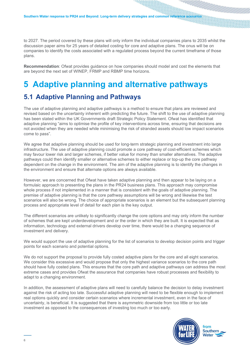to 2027. The period covered by these plans will only inform the individual companies plans to 2035 whilst the discussion paper aims for 25 years of detailed costing for core and adaptive plans. The onus will be on companies to identify the costs associated with a regulated process beyond the current timeframe of those plans.

Recommendation: Ofwat provides guidance on how companies should model and cost the elements that are beyond the next set of WINEP, FRMP and RBMP time horizons.

## 5 Adaptive planning and alternative pathways

#### 5.1 Adaptive Planning and Pathways

The use of adaptive planning and adaptive pathways is a method to ensure that plans are reviewed and revised based on the uncertainty inherent with predicting the future. The shift to the use of adaptive planning has been stated within the UK Governments draft Strategic Policy Statement. Ofwat has identified that adaptive planning "aims to optimise the profile of key interventions across time, ensuring that decisions are not avoided when they are needed while minimising the risk of stranded assets should low impact scenarios come to pass".

We agree that adaptive planning should be used for long-term strategic planning and investment into large infrastructure. The use of adaptive planning could promote a core pathway of cost-efficient schemes which may favour lower risk and larger schemes, if better value for money than smaller alternatives. The adaptive pathways could then identify smaller or alternative schemes to either replace or top-up the core pathway dependent on the change in the environment. The aim of the adaptive planning is to identify the changes in the environment and ensure that alternate options are always available.

However, we are concerned that Ofwat have taken adaptive planning and then appear to be laying on a formulaic approach to presenting the plans in the PR24 business plans. This approach may compromise whole process if not implemented in a manner that is consistent with the goals of adaptive planning. The premise of adaptive planning is that the core pathway assumptions will be wrong and likewise the test scenarios will also be wrong. The choice of appropriate scenarios is an element but the subsequent planning process and appropriate level of detail for each plan is the key output.

The different scenarios are unlikely to significantly change the core options and may only inform the number of schemes that are kept underdevelopment and or the order in which they are built. It is expected that as information, technology and external drivers develop over time, there would be a changing sequence of investment and delivery.

We would support the use of adaptive planning for the list of scenarios to develop decision points and trigger points for each scenario and potential options.

We do not support the proposal to provide fully costed adaptive plans for the core and all eight scenarios. We consider this excessive and would propose that only the highest variance scenarios to the core path should have fully costed plans. This ensures that the core path and adaptive pathways can address the most extreme cases and provides Ofwat the assurance that companies have robust processes and flexibility to adapt to a changing environment.

In addition, the assessment of adaptive plans will need to carefully balance the decision to delay investment against the risk of acting too late. Successful adaptive planning will need to be flexible enough to implement real options quickly and consider certain scenarios where incremental investment, even in the face of uncertainty, is beneficial. It is suggested that there is asymmetric downside from too little or too late investment as opposed to the consequences of investing too much or too early.

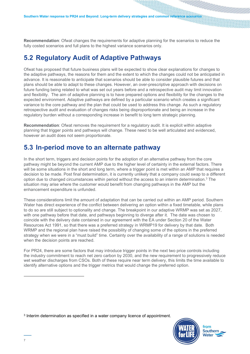Recommendation: Ofwat changes the requirements for adaptive planning for the scenarios to reduce the fully costed scenarios and full plans to the highest variance scenarios only.

#### 5.2 Regulatory Audit of Adaptive Pathways

Ofwat has proposed that future business plans will be expected to show clear explanations for changes to the adaptive pathways, the reasons for them and the extent to which the changes could not be anticipated in advance. It is reasonable to anticipate that scenarios should be able to consider plausible futures and that plans should be able to adapt to these changes. However, an over-prescriptive approach with decisions on future funding being related to what was set out years before and a retrospective audit may limit innovation and flexibility. The aim of adaptive planning is to have prepared options and flexibility for the changes to the expected environment. Adaptive pathways are defined by a particular scenario which creates a significant variance to the core pathway and the plan that could be used to address this change. As such a regulatory retrospective audit and evaluation of changes risks being disproportionate and being an increase in the regulatory burden without a corresponding increase in benefit to long term strategic planning.

Recommendation: Ofwat removes the requirement for a regulatory audit. It is explicit within adaptive planning that trigger points and pathways will change. These need to be well articulated and evidenced, however an audit does not seem proportionate.

#### 5.3 In-period move to an alternate pathway

In the short term, triggers and decision points for the adoption of an alternative pathway from the core pathway might be beyond the current AMP due to the higher level of certainty in the external factors. There will be some situations in the short and long term, where a trigger point is met within an AMP that requires a decision to be made. Post final determination, it is currently unlikely that a company could swap to a different option due to changed circumstances within period without the access to an interim determination.<sup>3</sup> The situation may arise where the customer would benefit from changing pathways in the AMP but the enhancement expenditure is unfunded.

These considerations limit the amount of adaptation that can be carried out within an AMP period. Southern Water has direct experience of the conflict between delivering an option within a fixed timetable, while plans to do so are still subject to optionality and change. The breakpoint in our adaptive WRMP was set as 2027, with one pathway before that date, and pathways beginning to diverge after it. The date was chosen to coincide with the delivery date contained in our agreement with the EA under Section 20 of the Water Resources Act 1991, so that there was a preferred strategy in WRMP19 for delivery by that date. Both WRMP and the regional plan have raised the possibility of changing some of the options in the preferred strategy when we were in a "must build" time. Certainty over the availability of a range of solutions is needed when the decision points are reached.

For PR24, there are some factors that may introduce trigger points in the next two price controls including the industry commitment to reach net zero carbon by 2030, and the new requirement to progressively reduce wet weather discharges from CSOs. Both of these require near term delivery, this limits the time available to identify alternative options and the trigger metrics that would change the preferred option.

3 Interim determination as specified in a water company licence of appointment.

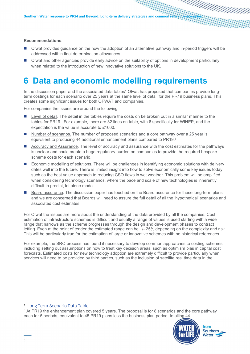#### Recommendations:

- Ofwat provides guidance on the how the adoption of an alternative pathway and in-period triggers will be addressed within final determination allowances.
- Ofwat and other agencies provide early advice on the suitability of options in development particularly when related to the introduction of new innovative solutions to the UK.

### 6 Data and economic modelling requirements

In the discussion paper and the associated data tables<sup>4</sup> Ofwat has proposed that companies provide longterm costings for each scenario over 25 years at the same level of detail for the PR19 business plans. This creates some significant issues for both OFWAT and companies.

For companies the issues are around the following:

- **Level of detail. The detail in the tables require the costs on be broken out in a similar manner to the** tables for PR19. For example, there are 32 lines on table, with 6 specifically for WINEP, and the expectation is the value is accurate to £1000.
- Number of scenarios. The number of proposed scenarios and a core pathway over a 25 year is equivalent to producing 44 additional enhancement plans compared to PR19.<sup>5</sup>.
- Accuracy and Assurance. The level of accuracy and assurance with the cost estimates for the pathways is unclear and could create a huge regulatory burden on companies to provide the required bespoke scheme costs for each scenario.
- Economic modelling of solutions. There will be challenges in identifying economic solutions with delivery dates well into the future. There is limited insight into how to solve economically some key issues today, such as the best value approach to reducing CSO flows in wet weather. This problem will be amplified when considering technology scenarios, where the pace and scale of new technologies is inherently difficult to predict, let alone model.
- Board assurance. The discussion paper has touched on the Board assurance for these long-term plans and we are concerned that Boards will need to assure the full detail of all the 'hypothetical' scenarios and associated cost estimates.

For Ofwat the issues are more about the understanding of the data provided by all the companies. Cost estimation of infrastructure schemes is difficult and usually a range of values is used starting with a wide range that narrows as the scheme progresses through the design and development phases to contract letting. Even at the point of tender the estimated range can be +/- 25% depending on the complexity and risk. This will be particularly true for the estimation of large or innovative schemes with no historical references.

For example, the SRO process has found it necessary to develop common approaches to costing schemes, including setting out assumptions on how to treat key decision areas, such as optimism bias in capital cost forecasts. Estimated costs for new technology adoption are extremely difficult to provide particularly when services will need to be provided by third parties, such as the inclusion of satellite real time data in the

<sup>4</sup> Long Term Scenario Data Table

<sup>5</sup> At PR19 the enhancement plan covered 5 years. The proposal is for 8 scenarios and the core pathway each for 5 periods, equivalent to 45 PR19 plans less the business plan period, totalling 44.

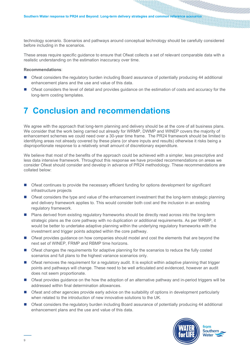technology scenario. Scenarios and pathways around conceptual technology should be carefully considered before including in the scenarios.

These areas require specific guidance to ensure that Ofwat collects a set of relevant comparable data with a realistic understanding on the estimation inaccuracy over time.

#### Recommendations:

- Ofwat considers the regulatory burden including Board assurance of potentially producing 44 additional enhancement plans and the use and value of this data.
- Ofwat considers the level of detail and provides guidance on the estimation of costs and accuracy for the long-term costing templates.

### 7 Conclusion and recommendations

We agree with the approach that long-term planning and delivery should be at the core of all business plans. We consider that the work being carried out already for WRMP, DWMP and WINEP covers the majority of enhancement schemes we could need over a 30-year time frame. The PR24 framework should be limited to identifying areas not already covered by these plans (or share inputs and results) otherwise it risks being a disproportionate response to a relatively small amount of discretionary expenditure.

We believe that most of the benefits of the approach could be achieved with a simpler, less prescriptive and less data intensive framework. Throughout this response we have provided recommendations on areas we consider Ofwat should consider and develop in advance of PR24 methodology. These recommendations are collated below:

- Ofwat continues to provide the necessary efficient funding for options development for significant infrastructure projects
- Ofwat considers the type and value of the enhancement investment that the long-term strategic planning and delivery framework applies to. This would consider both cost and the inclusion in an existing regulatory framework.
- **Plans derived from existing regulatory frameworks should be directly read across into the long-term** strategic plans as the core pathway with no duplication or additional requirements. As per WRMP, it would be better to undertake adaptive planning within the underlying regulatory frameworks with the investment and trigger points adopted within the core pathway.
- Ofwat provides guidance on how companies should model and cost the elements that are beyond the next set of WINEP, FRMP and RBMP time horizons.
- Ofwat changes the requirements for adaptive planning for the scenarios to reduce the fully costed scenarios and full plans to the highest variance scenarios only.
- Ofwat removes the requirement for a regulatory audit. It is explicit within adaptive planning that trigger points and pathways will change. These need to be well articulated and evidenced, however an audit does not seem proportionate.
- Ofwat provides guidance on the how the adoption of an alternative pathway and in-period triggers will be addressed within final determination allowances.
- Ofwat and other agencies provide early advice on the suitability of options in development particularly when related to the introduction of new innovative solutions to the UK.
- Ofwat considers the regulatory burden including Board assurance of potentially producing 44 additional enhancement plans and the use and value of this data.